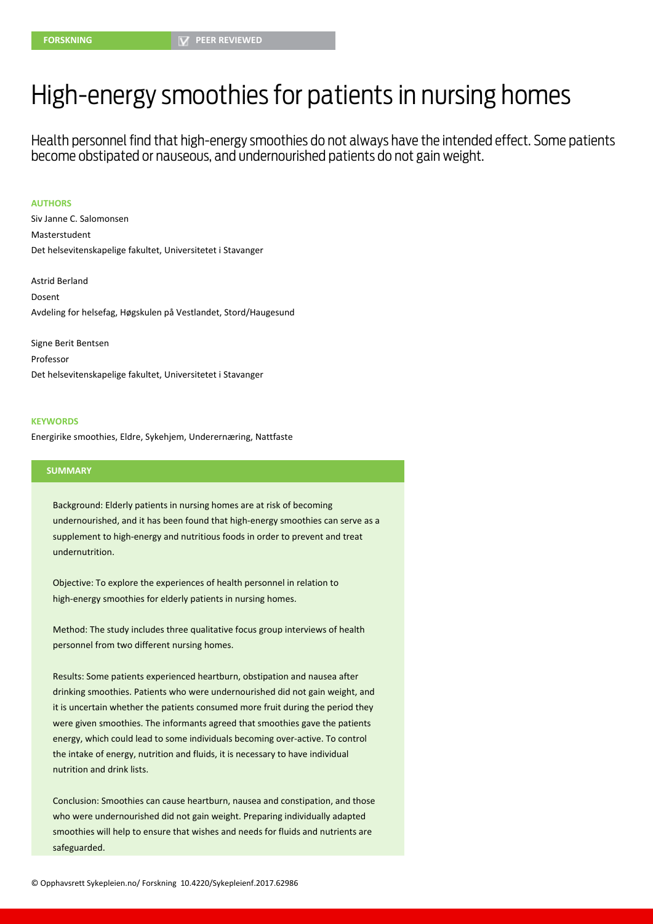# High-energy smoothies for patients in nursing homes

Health personnel find that high-energy smoothies do not always have the intended effect. Some patients become obstipated or nauseous, and undernourished patients do not gain weight.

#### **AUTHORS**

Siv Janne C. Salomonsen Masterstudent Det helsevitenskapelige fakultet, Universitetet i Stavanger

Astrid Berland Dosent Avdeling for helsefag, Høgskulen på Vestlandet, Stord/Haugesund

Signe Berit Bentsen Professor Det helsevitenskapelige fakultet, Universitetet i Stavanger

#### **KEYWORDS**

Energirike smoothies, Eldre, Sykehjem, Underernæring, Nattfaste

### **SUMMARY**

Background: Elderly patients in nursing homes are at risk of becoming undernourished, and it has been found that high-energy smoothies can serve as a supplement to high-energy and nutritious foods in order to prevent and treat undernutrition.

Objective: To explore the experiences of health personnel in relation to high-energy smoothies for elderly patients in nursing homes.

Method: The study includes three qualitative focus group interviews of health personnel from two different nursing homes.

Results: Some patients experienced heartburn, obstipation and nausea after drinking smoothies. Patients who were undernourished did not gain weight, and it is uncertain whether the patients consumed more fruit during the period they were given smoothies. The informants agreed that smoothies gave the patients energy, which could lead to some individuals becoming over-active. To control the intake of energy, nutrition and fluids, it is necessary to have individual nutrition and drink lists.

Conclusion: Smoothies can cause heartburn, nausea and constipation, and those who were undernourished did not gain weight. Preparing individually adapted smoothies will help to ensure that wishes and needs for fluids and nutrients are safeguarded.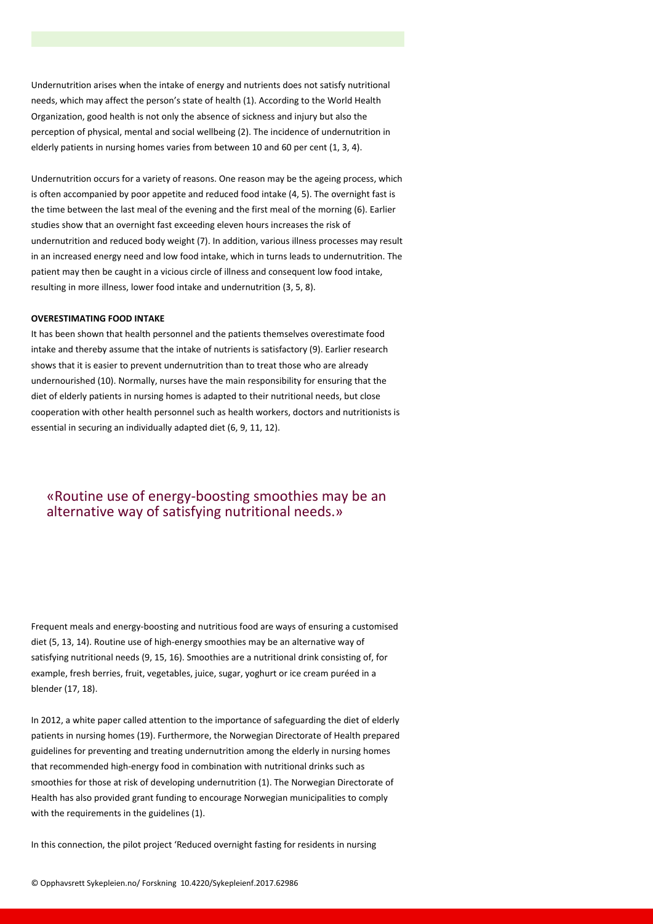Undernutrition arises when the intake of energy and nutrients does not satisfy nutritional needs, which may affect the person's state of health (1). According to the World Health Organization, good health is not only the absence of sickness and injury but also the perception of physical, mental and social wellbeing (2). The incidence of undernutrition in elderly patients in nursing homes varies from between 10 and 60 per cent (1, 3, 4).

Undernutrition occurs for a variety of reasons. One reason may be the ageing process, which is often accompanied by poor appetite and reduced food intake (4, 5). The overnight fast is the time between the last meal of the evening and the first meal of the morning (6). Earlier studies show that an overnight fast exceeding eleven hours increases the risk of undernutrition and reduced body weight (7). In addition, various illness processes may result in an increased energy need and low food intake, which in turns leads to undernutrition. The patient may then be caught in a vicious circle of illness and consequent low food intake, resulting in more illness, lower food intake and undernutrition (3, 5, 8).

#### **OVERESTIMATING FOOD INTAKE**

It has been shown that health personnel and the patients themselves overestimate food intake and thereby assume that the intake of nutrients is satisfactory (9). Earlier research shows that it is easier to prevent undernutrition than to treat those who are already undernourished (10). Normally, nurses have the main responsibility for ensuring that the diet of elderly patients in nursing homes is adapted to their nutritional needs, but close cooperation with other health personnel such as health workers, doctors and nutritionists is essential in securing an individually adapted diet (6, 9, 11, 12).

# «Routine use of energy-boosting smoothies may be an alternative way of satisfying nutritional needs.»

Frequent meals and energy-boosting and nutritious food are ways of ensuring a customised diet (5, 13, 14). Routine use of high-energy smoothies may be an alternative way of satisfying nutritional needs (9, 15, 16). Smoothies are a nutritional drink consisting of, for example, fresh berries, fruit, vegetables, juice, sugar, yoghurt or ice cream puréed in a blender (17, 18).

In 2012, a white paper called attention to the importance of safeguarding the diet of elderly patients in nursing homes (19). Furthermore, the Norwegian Directorate of Health prepared guidelines for preventing and treating undernutrition among the elderly in nursing homes that recommended high-energy food in combination with nutritional drinks such as smoothies for those at risk of developing undernutrition (1). The Norwegian Directorate of Health has also provided grant funding to encourage Norwegian municipalities to comply with the requirements in the guidelines (1).

In this connection, the pilot project 'Reduced overnight fasting for residents in nursing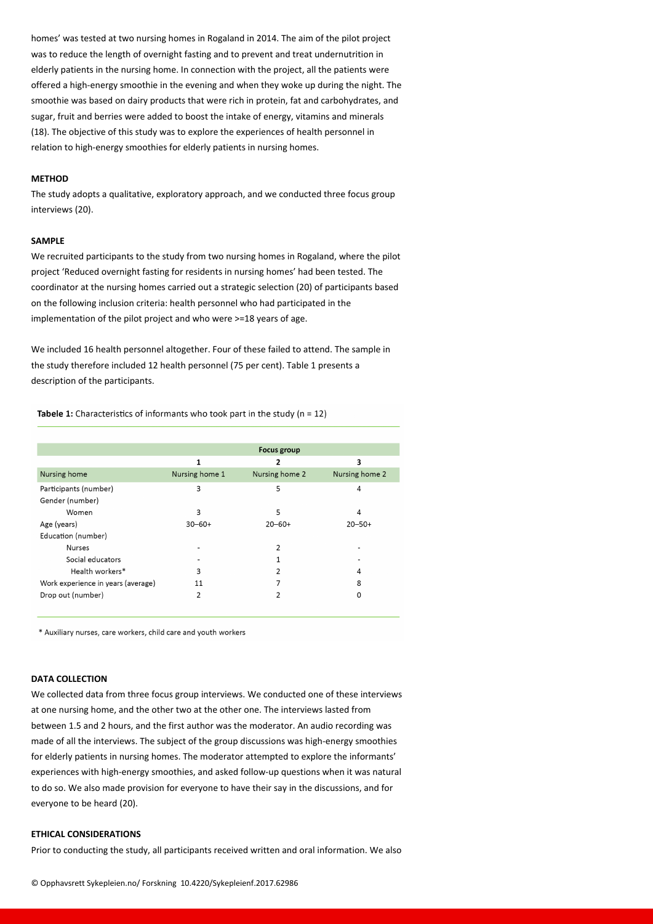homes' was tested at two nursing homes in Rogaland in 2014. The aim of the pilot project was to reduce the length of overnight fasting and to prevent and treat undernutrition in elderly patients in the nursing home. In connection with the project, all the patients were offered a high-energy smoothie in the evening and when they woke up during the night. The smoothie was based on dairy products that were rich in protein, fat and carbohydrates, and sugar, fruit and berries were added to boost the intake of energy, vitamins and minerals (18). The objective of this study was to explore the experiences of health personnel in relation to high-energy smoothies for elderly patients in nursing homes.

#### **METHOD**

The study adopts a qualitative, exploratory approach, and we conducted three focus group interviews (20).

#### **SAMPLE**

We recruited participants to the study from two nursing homes in Rogaland, where the pilot project 'Reduced overnight fasting for residents in nursing homes' had been tested. The coordinator at the nursing homes carried out a strategic selection (20) of participants based on the following inclusion criteria: health personnel who had participated in the implementation of the pilot project and who were >=18 years of age.

We included 16 health personnel altogether. Four of these failed to attend. The sample in the study therefore included 12 health personnel (75 per cent). Table 1 presents a description of the participants.

Tabele 1: Characteristics of informants who took part in the study ( $n = 12$ )

|                                    |                | <b>Focus group</b> |                |
|------------------------------------|----------------|--------------------|----------------|
|                                    | 1              | 2                  | 3              |
| Nursing home                       | Nursing home 1 | Nursing home 2     | Nursing home 2 |
| Participants (number)              | 3              | 5                  | 4              |
| Gender (number)                    |                |                    |                |
| Women                              | 3              | 5                  | 4              |
| Age (years)                        | $30 - 60 +$    | $20 - 60 +$        | $20 - 50 +$    |
| Education (number)                 |                |                    |                |
| <b>Nurses</b>                      |                | 2                  |                |
| Social educators                   |                |                    |                |
| Health workers*                    | 3              | 2                  | 4              |
| Work experience in years (average) | 11             | 7                  | 8              |
| Drop out (number)                  | 2              | 2                  | 0              |

\* Auxiliary nurses, care workers, child care and youth workers

# **DATA COLLECTION**

We collected data from three focus group interviews. We conducted one of these interviews at one nursing home, and the other two at the other one. The interviews lasted from between 1.5 and 2 hours, and the first author was the moderator. An audio recording was made of all the interviews. The subject of the group discussions was high-energy smoothies for elderly patients in nursing homes. The moderator attempted to explore the informants' experiences with high-energy smoothies, and asked follow-up questions when it was natural to do so. We also made provision for everyone to have their say in the discussions, and for everyone to be heard (20).

# **ETHICAL CONSIDERATIONS**

Prior to conducting the study, all participants received written and oral information. We also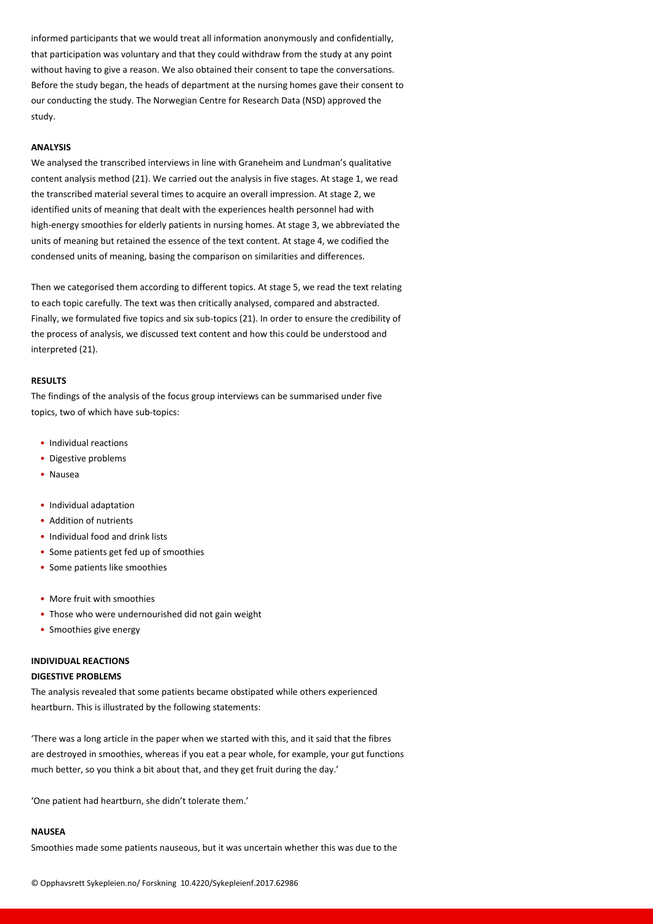informed participants that we would treat all information anonymously and confidentially, that participation was voluntary and that they could withdraw from the study at any point without having to give a reason. We also obtained their consent to tape the conversations. Before the study began, the heads of department at the nursing homes gave their consent to our conducting the study. The Norwegian Centre for Research Data (NSD) approved the study.

#### **ANALYSIS**

We analysed the transcribed interviews in line with Graneheim and Lundman's qualitative content analysis method (21). We carried out the analysis in five stages. At stage 1, we read the transcribed material several times to acquire an overall impression. At stage 2, we identified units of meaning that dealt with the experiences health personnel had with high-energy smoothies for elderly patients in nursing homes. At stage 3, we abbreviated the units of meaning but retained the essence of the text content. At stage 4, we codified the condensed units of meaning, basing the comparison on similarities and differences.

Then we categorised them according to different topics. At stage 5, we read the text relating to each topic carefully. The text was then critically analysed, compared and abstracted. Finally, we formulated five topics and six sub-topics (21). In order to ensure the credibility of the process of analysis, we discussed text content and how this could be understood and interpreted (21).

## **RESULTS**

The findings of the analysis of the focus group interviews can be summarised under five topics, two of which have sub-topics:

- Individual reactions
- Digestive problems
- Nausea
- Individual adaptation
- Addition of nutrients
- Individual food and drink lists
- Some patients get fed up of smoothies
- Some patients like smoothies
- More fruit with smoothies
- Those who were undernourished did not gain weight
- Smoothies give energy

### **INDIVIDUAL REACTIONS**

# **DIGESTIVE PROBLEMS**

The analysis revealed that some patients became obstipated while others experienced heartburn. This is illustrated by the following statements:

'There was a long article in the paper when we started with this, and it said that the fibres are destroyed in smoothies, whereas if you eat a pear whole, for example, your gut functions much better, so you think a bit about that, and they get fruit during the day.'

'One patient had heartburn, she didn't tolerate them.'

## **NAUSEA**

Smoothies made some patients nauseous, but it was uncertain whether this was due to the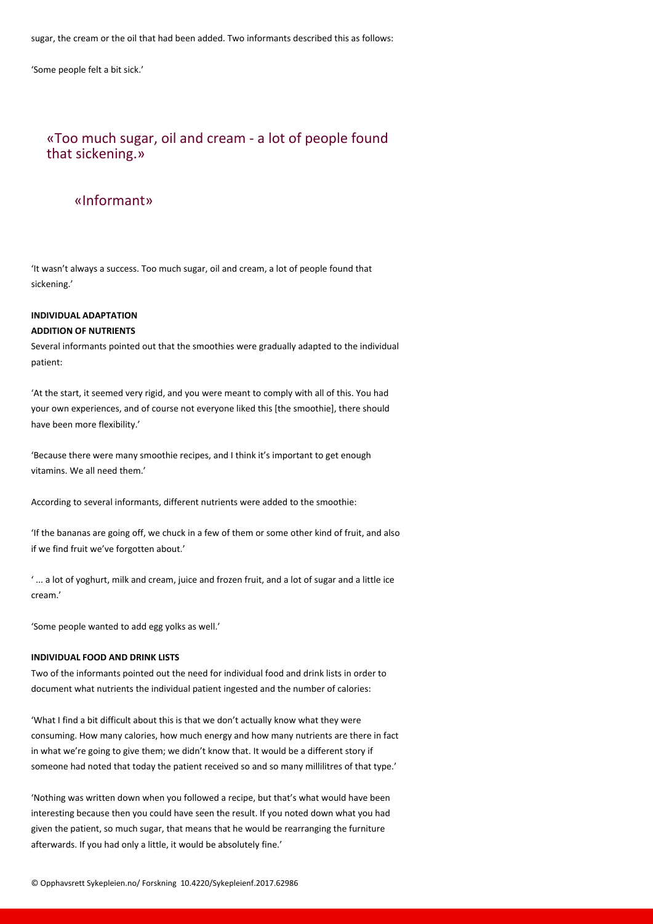sugar, the cream or the oil that had been added. Two informants described this as follows:

'Some people felt a bit sick.'

# «Too much sugar, oil and cream - a lot of people found that sickening.»

# «Informant»

'It wasn't always a success. Too much sugar, oil and cream, a lot of people found that sickening.'

# **INDIVIDUAL ADAPTATION ADDITION OF NUTRIENTS**

Several informants pointed out that the smoothies were gradually adapted to the individual patient:

'At the start, it seemed very rigid, and you were meant to comply with all of this. You had your own experiences, and of course not everyone liked this [the smoothie], there should have been more flexibility.'

'Because there were many smoothie recipes, and I think it's important to get enough vitamins. We all need them.'

According to several informants, different nutrients were added to the smoothie:

'If the bananas are going off, we chuck in a few of them or some other kind of fruit, and also if we find fruit we've forgotten about.'

' ... a lot of yoghurt, milk and cream, juice and frozen fruit, and a lot of sugar and a little ice cream.'

'Some people wanted to add egg yolks as well.'

# **INDIVIDUAL FOOD AND DRINK LISTS**

Two of the informants pointed out the need for individual food and drink lists in order to document what nutrients the individual patient ingested and the number of calories:

'What I find a bit difficult about this is that we don't actually know what they were consuming. How many calories, how much energy and how many nutrients are there in fact in what we're going to give them; we didn't know that. It would be a different story if someone had noted that today the patient received so and so many millilitres of that type.'

'Nothing was written down when you followed a recipe, but that's what would have been interesting because then you could have seen the result. If you noted down what you had given the patient, so much sugar, that means that he would be rearranging the furniture afterwards. If you had only a little, it would be absolutely fine.'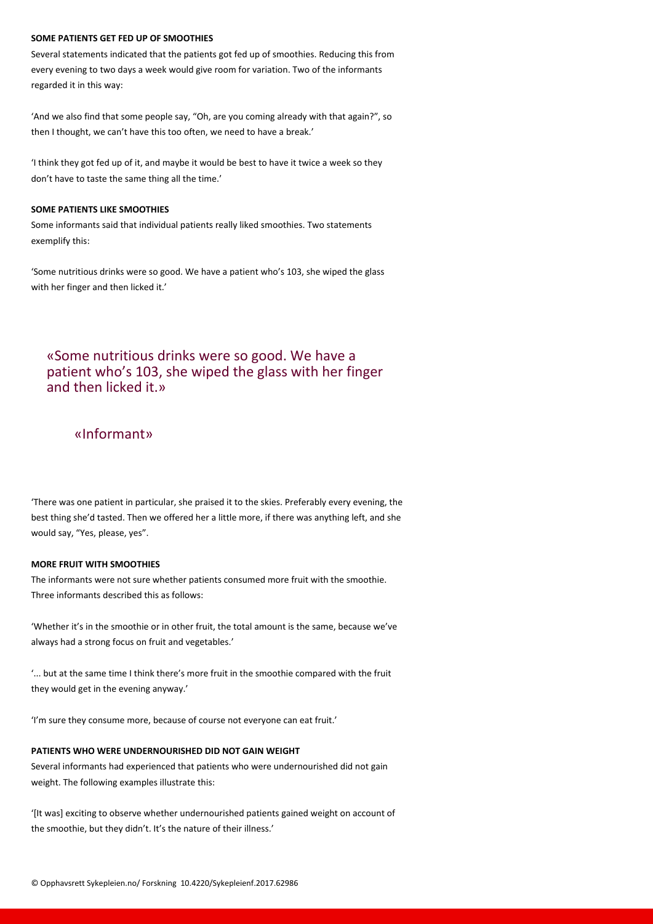# **SOME PATIENTS GET FED UP OF SMOOTHIES**

Several statements indicated that the patients got fed up of smoothies. Reducing this from every evening to two days a week would give room for variation. Two of the informants regarded it in this way:

'And we also find that some people say, "Oh, are you coming already with that again?", so then I thought, we can't have this too often, we need to have a break.'

'I think they got fed up of it, and maybe it would be best to have it twice a week so they don't have to taste the same thing all the time.'

# **SOME PATIENTS LIKE SMOOTHIES**

Some informants said that individual patients really liked smoothies. Two statements exemplify this:

'Some nutritious drinks were so good. We have a patient who's 103, she wiped the glass with her finger and then licked it.'

# «Some nutritious drinks were so good. We have a patient who's 103, she wiped the glass with her finger and then licked it.»

# «Informant»

'There was one patient in particular, she praised it to the skies. Preferably every evening, the best thing she'd tasted. Then we offered her a little more, if there was anything left, and she would say, "Yes, please, yes".

## **MORE FRUIT WITH SMOOTHIES**

The informants were not sure whether patients consumed more fruit with the smoothie. Three informants described this as follows:

'Whether it's in the smoothie or in other fruit, the total amount is the same, because we've always had a strong focus on fruit and vegetables.'

'... but at the same time I think there's more fruit in the smoothie compared with the fruit they would get in the evening anyway.'

'I'm sure they consume more, because of course not everyone can eat fruit.'

# **PATIENTS WHO WERE UNDERNOURISHED DID NOT GAIN WEIGHT**

Several informants had experienced that patients who were undernourished did not gain weight. The following examples illustrate this:

'[It was] exciting to observe whether undernourished patients gained weight on account of the smoothie, but they didn't. It's the nature of their illness.'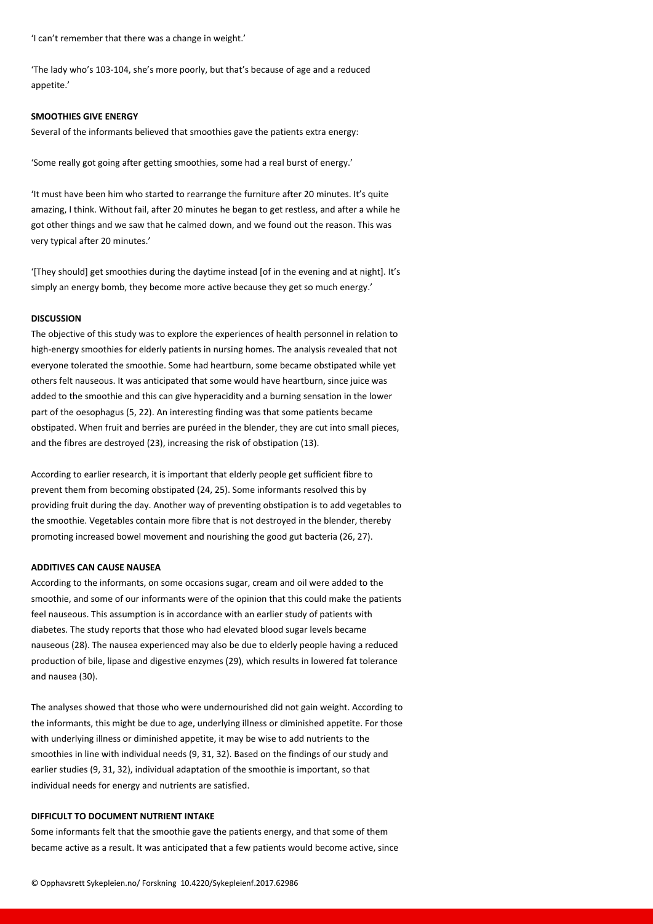'I can't remember that there was a change in weight.'

'The lady who's 103-104, she's more poorly, but that's because of age and a reduced appetite.'

### **SMOOTHIES GIVE ENERGY**

Several of the informants believed that smoothies gave the patients extra energy:

'Some really got going after getting smoothies, some had a real burst of energy.'

'It must have been him who started to rearrange the furniture after 20 minutes. It's quite amazing, I think. Without fail, after 20 minutes he began to get restless, and after a while he got other things and we saw that he calmed down, and we found out the reason. This was very typical after 20 minutes.'

'[They should] get smoothies during the daytime instead [of in the evening and at night]. It's simply an energy bomb, they become more active because they get so much energy.'

### **DISCUSSION**

The objective of this study was to explore the experiences of health personnel in relation to high-energy smoothies for elderly patients in nursing homes. The analysis revealed that not everyone tolerated the smoothie. Some had heartburn, some became obstipated while yet others felt nauseous. It was anticipated that some would have heartburn, since juice was added to the smoothie and this can give hyperacidity and a burning sensation in the lower part of the oesophagus (5, 22). An interesting finding was that some patients became obstipated. When fruit and berries are puréed in the blender, they are cut into small pieces, and the fibres are destroyed (23), increasing the risk of obstipation (13).

According to earlier research, it is important that elderly people get sufficient fibre to prevent them from becoming obstipated (24, 25). Some informants resolved this by providing fruit during the day. Another way of preventing obstipation is to add vegetables to the smoothie. Vegetables contain more fibre that is not destroyed in the blender, thereby promoting increased bowel movement and nourishing the good gut bacteria (26, 27).

## **ADDITIVES CAN CAUSE NAUSEA**

According to the informants, on some occasions sugar, cream and oil were added to the smoothie, and some of our informants were of the opinion that this could make the patients feel nauseous. This assumption is in accordance with an earlier study of patients with diabetes. The study reports that those who had elevated blood sugar levels became nauseous (28). The nausea experienced may also be due to elderly people having a reduced production of bile, lipase and digestive enzymes (29), which results in lowered fat tolerance and nausea (30).

The analyses showed that those who were undernourished did not gain weight. According to the informants, this might be due to age, underlying illness or diminished appetite. For those with underlying illness or diminished appetite, it may be wise to add nutrients to the smoothies in line with individual needs (9, 31, 32). Based on the findings of our study and earlier studies (9, 31, 32), individual adaptation of the smoothie is important, so that individual needs for energy and nutrients are satisfied.

## **DIFFICULT TO DOCUMENT NUTRIENT INTAKE**

Some informants felt that the smoothie gave the patients energy, and that some of them became active as a result. It was anticipated that a few patients would become active, since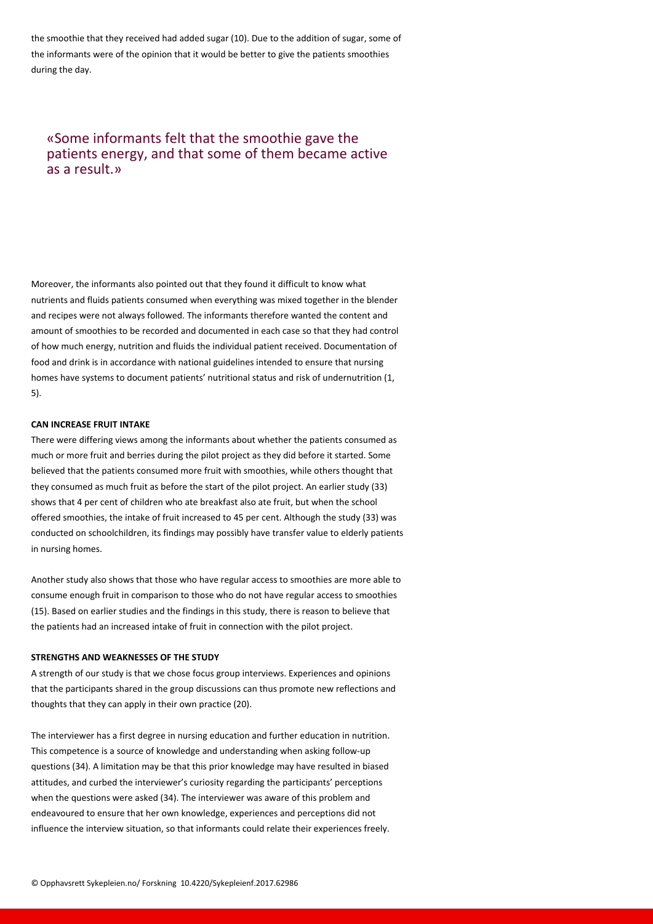the smoothie that they received had added sugar (10). Due to the addition of sugar, some of the informants were of the opinion that it would be better to give the patients smoothies during the day.

# «Some informants felt that the smoothie gave the patients energy, and that some of them became active as a result.»

Moreover, the informants also pointed out that they found it difficult to know what nutrients and fluids patients consumed when everything was mixed together in the blender and recipes were not always followed. The informants therefore wanted the content and amount of smoothies to be recorded and documented in each case so that they had control of how much energy, nutrition and fluids the individual patient received. Documentation of food and drink is in accordance with national guidelines intended to ensure that nursing homes have systems to document patients' nutritional status and risk of undernutrition (1, 5).

# **CAN INCREASE FRUIT INTAKE**

There were differing views among the informants about whether the patients consumed as much or more fruit and berries during the pilot project as they did before it started. Some believed that the patients consumed more fruit with smoothies, while others thought that they consumed as much fruit as before the start of the pilot project. An earlier study (33) shows that 4 per cent of children who ate breakfast also ate fruit, but when the school offered smoothies, the intake of fruit increased to 45 per cent. Although the study (33) was conducted on schoolchildren, its findings may possibly have transfer value to elderly patients in nursing homes.

Another study also shows that those who have regular access to smoothies are more able to consume enough fruit in comparison to those who do not have regular access to smoothies (15). Based on earlier studies and the findings in this study, there is reason to believe that the patients had an increased intake of fruit in connection with the pilot project.

# **STRENGTHS AND WEAKNESSES OF THE STUDY**

A strength of our study is that we chose focus group interviews. Experiences and opinions that the participants shared in the group discussions can thus promote new reflections and thoughts that they can apply in their own practice (20).

The interviewer has a first degree in nursing education and further education in nutrition. This competence is a source of knowledge and understanding when asking follow-up questions (34). A limitation may be that this prior knowledge may have resulted in biased attitudes, and curbed the interviewer's curiosity regarding the participants' perceptions when the questions were asked (34). The interviewer was aware of this problem and endeavoured to ensure that her own knowledge, experiences and perceptions did not influence the interview situation, so that informants could relate their experiences freely.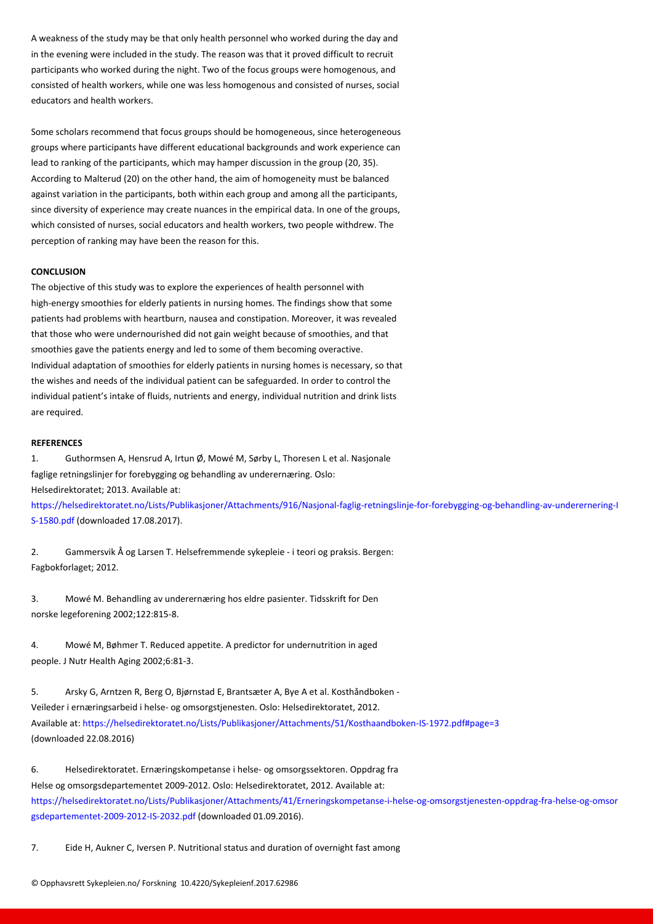in the evening were included in the study. The reason was that it proved difficult to recruit participants who worked during the night. Two of the focus groups were homogenous, and consisted of health workers, while one was less homogenous and consisted of nurses, social educators and health workers.

Some scholars recommend that focus groups should be homogeneous, since heterogeneous groups where participants have different educational backgrounds and work experience can lead to ranking of the participants, which may hamper discussion in the group (20, 35). According to Malterud (20) on the other hand, the aim of homogeneity must be balanced against variation in the participants, both within each group and among all the participants, since diversity of experience may create nuances in the empirical data. In one of the groups, which consisted of nurses, social educators and health workers, two people withdrew. The perception of ranking may have been the reason for this.

## **CONCLUSION**

The objective of this study was to explore the experiences of health personnel with high-energy smoothies for elderly patients in nursing homes. The findings show that some patients had problems with heartburn, nausea and constipation. Moreover, it was revealed that those who were undernourished did not gain weight because of smoothies, and that smoothies gave the patients energy and led to some of them becoming overactive. Individual adaptation of smoothies for elderly patients in nursing homes is necessary, so that the wishes and needs of the individual patient can be safeguarded. In order to control the individual patient's intake of fluids, nutrients and energy, individual nutrition and drink lists are required.

#### **REFERENCES**

1. Guthormsen A, Hensrud A, Irtun Ø, Mowé M, Sørby L, Thoresen L et al. Nasjonale faglige retningslinjer for forebygging og behandling av underernæring. Oslo: Helsedirektoratet; 2013. Available at:

https://helsedirektoratet.no/Lists/Publikasjoner/Attachments/916/Nasjonal-faglig-retningslinje-for-forebygging-og-behandling-av-underernering-I S-1580.pdf (downloaded 17.08.2017).

[2. Gammersvik Å og Larsen T. Helsefremmende sykepleie - i teori og praksis. Bergen:](https://helsedirektoratet.no/Lists/Publikasjoner/Attachments/916/Nasjonal-faglig-retningslinje-for-forebygging-og-behandling-av-underernering-IS-1580.pdf) [Fagbokforla](https://helsedirektoratet.no/Lists/Publikasjoner/Attachments/916/Nasjonal-faglig-retningslinje-for-forebygging-og-behandling-av-underernering-IS-1580.pdf)get; 2012.

3. Mowé M. Behandling av underernæring hos eldre pasienter. Tidsskrift for Den norske legeforening 2002;122:815-8.

4. Mowé M, Bøhmer T. Reduced appetite. A predictor for undernutrition in aged people. J Nutr Health Aging 2002;6:81-3.

5. Arsky G, Arntzen R, Berg O, Bjørnstad E, Brantsæter A, Bye A et al. Kosthåndboken - Veileder i ernæringsarbeid i helse- og omsorgstjenesten. Oslo: Helsedirektoratet, 2012. Available at: https://helsedirektoratet.no/Lists/Publikasjoner/Attachments/51/Kosthaandboken-IS-1972.pdf#page=3 (downloaded 22.08.2016)

6. Helsedirektoratet. Ernæringskompetanse i helse- og omsorgssektoren. Oppdrag fra Helse og om[sorgsdepartementet 2009-2012. Oslo: Helsedirektoratet, 2012. Available at:](https://helsedirektoratet.no/Lists/Publikasjoner/Attachments/51/Kosthaandboken-IS-1972.pdf#page=3)  https://helsedirektoratet.no/Lists/Publikasjoner/Attachments/41/Erneringskompetanse-i-helse-og-omsorgstjenesten-oppdrag-fra-helse-og-omsor gsdepartementet-2009-2012-IS-2032.pdf (downloaded 01.09.2016).

[7. Eide H, Aukner C, Iversen P. Nutritional status and duration of overnight fast among](https://helsedirektoratet.no/Lists/Publikasjoner/Attachments/41/Erneringskompetanse-i-helse-og-omsorgstjenesten-oppdrag-fra-helse-og-omsorgsdepartementet-2009-2012-IS-2032.pdf)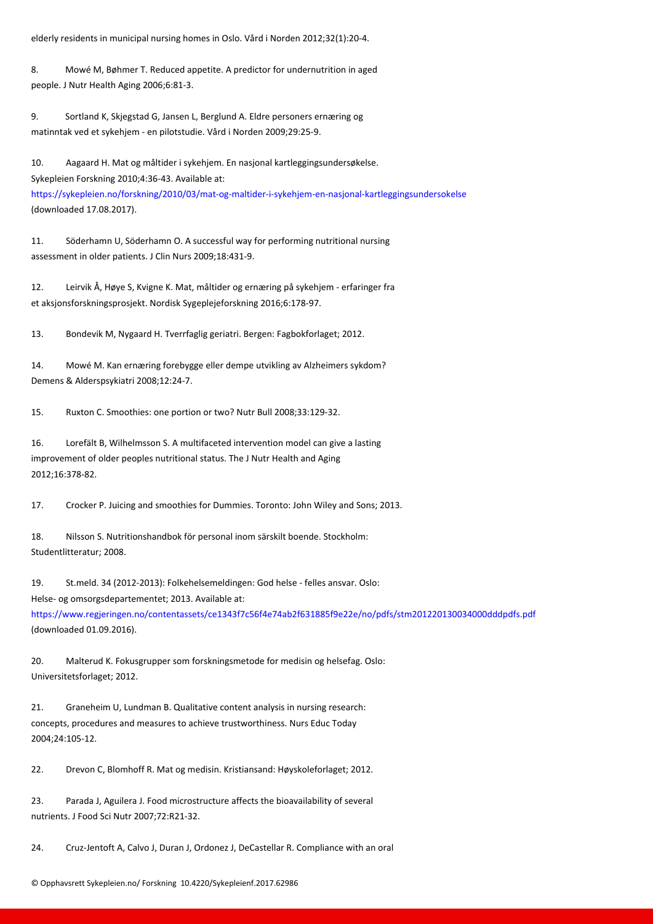8. Mowé M, Bøhmer T. Reduced appetite. A predictor for undernutrition in aged people. J Nutr Health Aging 2006;6:81-3.

9. Sortland K, Skjegstad G, Jansen L, Berglund A. Eldre personers ernæring og matinntak ved et sykehjem - en pilotstudie. Vård i Norden 2009;29:25-9.

10. Aagaard H. Mat og måltider i sykehjem. En nasjonal kartleggingsundersøkelse. Sykepleien Forskning 2010;4:36-43. Available at: https://sykepleien.no/forskning/2010/03/mat-og-maltider-i-sykehjem-en-nasjonal-kartleggingsundersokelse (downloaded 17.08.2017).

[11. Söderhamn U, Söderhamn O. A successful way for performing nutritional nursing](https://helsedirektoratet.no/Lists/Publikasjoner/Attachments/41/Erneringskompetanse-i-helse-og-omsorgstjenesten-oppdrag-fra-helse-og-omsorgsdepartementet-2009-2012-IS-2032.pdf) assessment in older patients. J Clin Nurs 2009;18:431-9.

12. Leirvik Å, Høye S, Kvigne K. Mat, måltider og ernæring på sykehjem - erfaringer fra et aksjonsforskningsprosjekt. Nordisk Sygeplejeforskning 2016;6:178-97.

13. Bondevik M, Nygaard H. Tverrfaglig geriatri. Bergen: Fagbokforlaget; 2012.

14. Mowé M. Kan ernæring forebygge eller dempe utvikling av Alzheimers sykdom? Demens & Alderspsykiatri 2008;12:24-7.

15. Ruxton C. Smoothies: one portion or two? Nutr Bull 2008;33:129-32.

16. Lorefält B, Wilhelmsson S. A multifaceted intervention model can give a lasting improvement of older peoples nutritional status. The J Nutr Health and Aging 2012;16:378-82.

17. Crocker P. Juicing and smoothies for Dummies. Toronto: John Wiley and Sons; 2013.

18. Nilsson S. Nutritionshandbok för personal inom särskilt boende. Stockholm: Studentlitteratur; 2008.

19. St.meld. 34 (2012-2013): Folkehelsemeldingen: God helse - felles ansvar. Oslo: Helse- og omsorgsdepartementet; 2013. Available at: https://www.regjeringen.no/contentassets/ce1343f7c56f4e74ab2f631885f9e22e/no/pdfs/stm201220130034000dddpdfs.pdf (downloaded 01.09.2016).

[20. Malterud K. Fokusgrupper som forskningsmetode for medisin og helsefag. Oslo:](https://www.regjeringen.no/contentassets/ce1343f7c56f4e74ab2f631885f9e22e/no/pdfs/stm201220130034000dddpdfs.pdf) Universitetsforlaget; 2012.

21. Graneheim U, Lundman B. Qualitative content analysis in nursing research: concepts, procedures and measures to achieve trustworthiness. Nurs Educ Today 2004;24:105-12.

22. Drevon C, Blomhoff R. Mat og medisin. Kristiansand: Høyskoleforlaget; 2012.

23. Parada J, Aguilera J. Food microstructure affects the bioavailability of several nutrients. J Food Sci Nutr 2007;72:R21-32.

24. Cruz-Jentoft A, Calvo J, Duran J, Ordonez J, DeCastellar R. Compliance with an oral